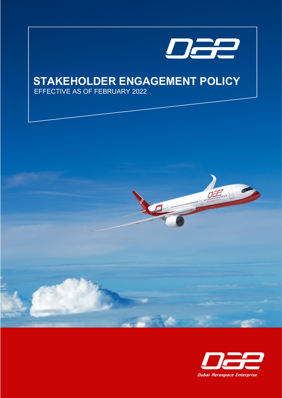

Marian Marian

# **STAKEHOLDER ENGAGEMENT POLICY**

EFFECTIVE AS OF FEBRUARY 2022

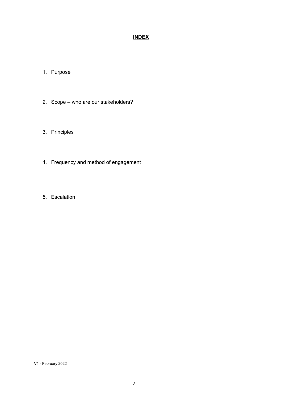# **INDEX**

- 1. Purpose
- 2. Scope who are our stakeholders?
- 3. Principles
- 4. Frequency and method of engagement
- 5. Escalation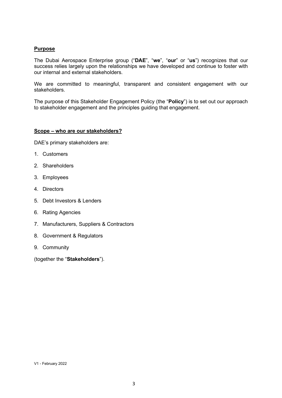## **Purpose**

The Dubai Aerospace Enterprise group ("**DAE**", "**we**", "**our**" or "**us**") recognizes that our success relies largely upon the relationships we have developed and continue to foster with our internal and external stakeholders.

We are committed to meaningful, transparent and consistent engagement with our stakeholders.

The purpose of this Stakeholder Engagement Policy (the "**Policy**") is to set out our approach to stakeholder engagement and the principles guiding that engagement.

### **Scope – who are our stakeholders?**

DAE's primary stakeholders are:

- 1. Customers
- 2. Shareholders
- 3. Employees
- 4. Directors
- 5. Debt Investors & Lenders
- 6. Rating Agencies
- 7. Manufacturers, Suppliers & Contractors
- 8. Government & Regulators
- 9. Community

(together the "**Stakeholders**").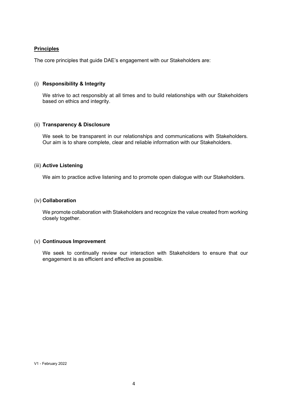## **Principles**

The core principles that guide DAE's engagement with our Stakeholders are:

#### (i) **Responsibility & Integrity**

We strive to act responsibly at all times and to build relationships with our Stakeholders based on ethics and integrity.

#### (ii) **Transparency & Disclosure**

We seek to be transparent in our relationships and communications with Stakeholders. Our aim is to share complete, clear and reliable information with our Stakeholders.

#### (iii) **Active Listening**

We aim to practice active listening and to promote open dialogue with our Stakeholders.

#### (iv) **Collaboration**

We promote collaboration with Stakeholders and recognize the value created from working closely together.

#### (v) **Continuous Improvement**

We seek to continually review our interaction with Stakeholders to ensure that our engagement is as efficient and effective as possible.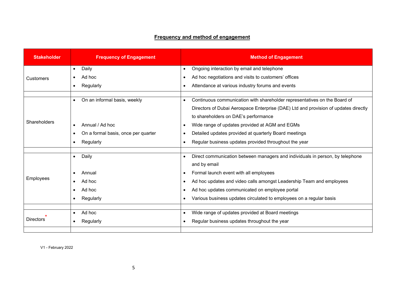# **Frequency and method of engagement**

| <b>Stakeholder</b> | <b>Frequency of Engagement</b>            | <b>Method of Engagement</b>                                                                |
|--------------------|-------------------------------------------|--------------------------------------------------------------------------------------------|
| <b>Customers</b>   | Daily<br>$\bullet$                        | Ongoing interaction by email and telephone<br>$\bullet$                                    |
|                    | Ad hoc                                    | Ad hoc negotiations and visits to customers' offices                                       |
|                    | Regularly                                 | Attendance at various industry forums and events                                           |
| Shareholders       | On an informal basis, weekly<br>$\bullet$ | Continuous communication with shareholder representatives on the Board of<br>$\bullet$     |
|                    |                                           | Directors of Dubai Aerospace Enterprise (DAE) Ltd and provision of updates directly        |
|                    |                                           | to shareholders on DAE's performance                                                       |
|                    | Annual / Ad hoc                           | Wide range of updates provided at AGM and EGMs<br>$\bullet$                                |
|                    | On a formal basis, once per quarter<br>٠  | Detailed updates provided at quarterly Board meetings                                      |
|                    | Regularly                                 | Regular business updates provided throughout the year                                      |
|                    |                                           |                                                                                            |
| Employees          | Daily<br>$\bullet$                        | Direct communication between managers and individuals in person, by telephone<br>$\bullet$ |
|                    |                                           | and by email                                                                               |
|                    | Annual                                    | Formal launch event with all employees                                                     |
|                    | Ad hoc                                    | Ad hoc updates and video calls amongst Leadership Team and employees                       |
|                    | Ad hoc                                    | Ad hoc updates communicated on employee portal                                             |
|                    | Regularly                                 | Various business updates circulated to employees on a regular basis                        |
|                    |                                           |                                                                                            |
| <b>Directors</b>   | Ad hoc<br>$\bullet$                       | Wide range of updates provided at Board meetings<br>$\bullet$                              |
|                    | Regularly                                 | Regular business updates throughout the year                                               |
|                    |                                           |                                                                                            |

V1 - February 2022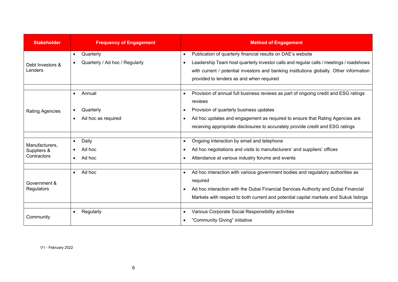| <b>Stakeholder</b>                           | <b>Frequency of Engagement</b>                           | <b>Method of Engagement</b>                                                                                                                                                                                                                                                                                                                        |
|----------------------------------------------|----------------------------------------------------------|----------------------------------------------------------------------------------------------------------------------------------------------------------------------------------------------------------------------------------------------------------------------------------------------------------------------------------------------------|
| Debt Investors &<br>Lenders                  | Quarterly<br>$\bullet$<br>Quarterly / Ad hoc / Regularly | Publication of quarterly financial results on DAE's website<br>$\bullet$<br>Leadership Team host quarterly investor calls and regular calls / meetings / roadshows<br>$\bullet$<br>with current / potential investors and banking institutions globally. Other information<br>provided to lenders as and when required                             |
| <b>Rating Agencies</b>                       | Annual<br>Quarterly<br>Ad hoc as required                | Provision of annual full business reviews as part of ongoing credit and ESG ratings<br>$\bullet$<br>reviews<br>Provision of quarterly business updates<br>$\bullet$<br>Ad hoc updates and engagement as required to ensure that Rating Agencies are<br>$\bullet$<br>receiving appropriate disclosures to accurately provide credit and ESG ratings |
| Manufacturers,<br>Suppliers &<br>Contractors | Daily<br>$\bullet$<br>Ad hoc<br>Ad hoc                   | Ongoing interaction by email and telephone<br>$\bullet$<br>Ad hoc negotiations and visits to manufacturers' and suppliers' offices<br>$\bullet$<br>Attendance at various industry forums and events<br>$\bullet$                                                                                                                                   |
| Government &<br>Regulators                   | Ad hoc<br>$\bullet$                                      | Ad hoc interaction with various government bodies and regulatory authorities as<br>required<br>Ad hoc interaction with the Dubai Financial Services Authority and Dubai Financial<br>$\bullet$<br>Markets with respect to both current and potential capital markets and Sukuk listings                                                            |
| Community                                    | Regularly                                                | Various Corporate Social Responsibility activities<br>$\bullet$<br>"Community Giving" initiative<br>$\bullet$                                                                                                                                                                                                                                      |

V1 - February 2022